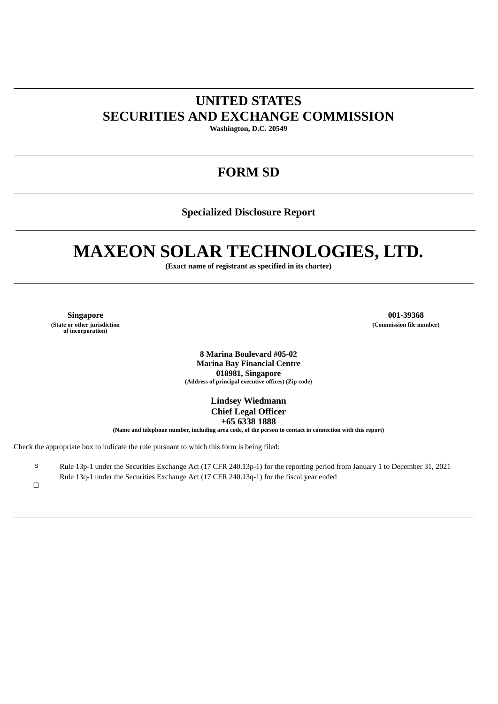# **UNITED STATES SECURITIES AND EXCHANGE COMMISSION**

**Washington, D.C. 20549**

# **FORM SD**

**Specialized Disclosure Report**

# **MAXEON SOLAR TECHNOLOGIES, LTD.**

**(Exact name of registrant as specified in its charter)**

**(State or other jurisdiction of incorporation)**

**Singapore 001-39368 (Commission file number)**

> **8 Marina Boulevard #05-02 Marina Bay Financial Centre 018981, Singapore (Address of principal executive offices) (Zip code)**

> > **Lindsey Wiedmann Chief Legal Officer +65 6338 1888**

**(Name and telephone number, including area code, of the person to contact in connection with this report)**

Check the appropriate box to indicate the rule pursuant to which this form is being filed:

S Rule 13p-1 under the Securities Exchange Act (17 CFR 240.13p-1) for the reporting period from January 1 to December 31, 2021 Rule 13q-1 under the Securities Exchange Act (17 CFR 240.13q-1) for the fiscal year ended

☐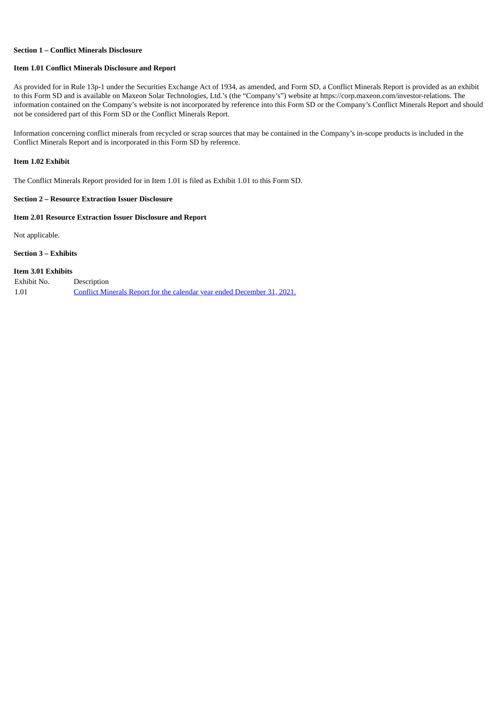#### **Section 1 – Conflict Minerals Disclosure**

#### **Item 1.01 Conflict Minerals Disclosure and Report**

As provided for in Rule 13p-1 under the Securities Exchange Act of 1934, as amended, and Form SD, a Conflict Minerals Report is provided as an exhibit to this Form SD and is available on Maxeon Solar Technologies, Ltd.'s (the "Company's") website at https://corp.maxeon.com/investor-relations. The information contained on the Company's website is not incorporated by reference into this Form SD or the Company's Conflict Minerals Report and should not be considered part of this Form SD or the Conflict Minerals Report.

Information concerning conflict minerals from recycled or scrap sources that may be contained in the Company's in-scope products is included in the Conflict Minerals Report and is incorporated in this Form SD by reference.

#### **Item 1.02 Exhibit**

The Conflict Minerals Report provided for in Item 1.01 is filed as Exhibit 1.01 to this Form SD.

#### **Section 2 – Resource Extraction Issuer Disclosure**

#### **Item 2.01 Resource Extraction Issuer Disclosure and Report**

Not applicable.

#### **Section 3 – Exhibits**

## **Item 3.01 Exhibits**

| Exhibit No. | Description                                                             |
|-------------|-------------------------------------------------------------------------|
| 1.01        | Conflict Minerals Report for the calendar year ended December 31, 2021. |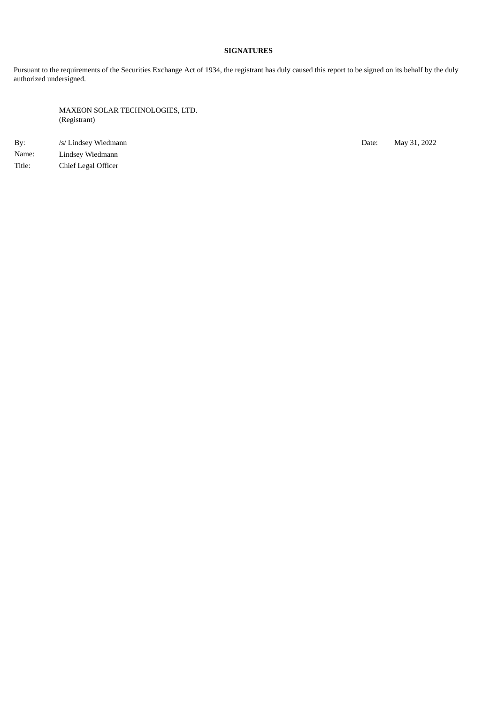### **SIGNATURES**

Pursuant to the requirements of the Securities Exchange Act of 1934, the registrant has duly caused this report to be signed on its behalf by the duly authorized undersigned.

MAXEON SOLAR TECHNOLOGIES, LTD. (Registrant)

By: /s/ Lindsey Wiedmann based of the May 31, 2022 Name: Lindsey Wiedmann Title: Chief Legal Officer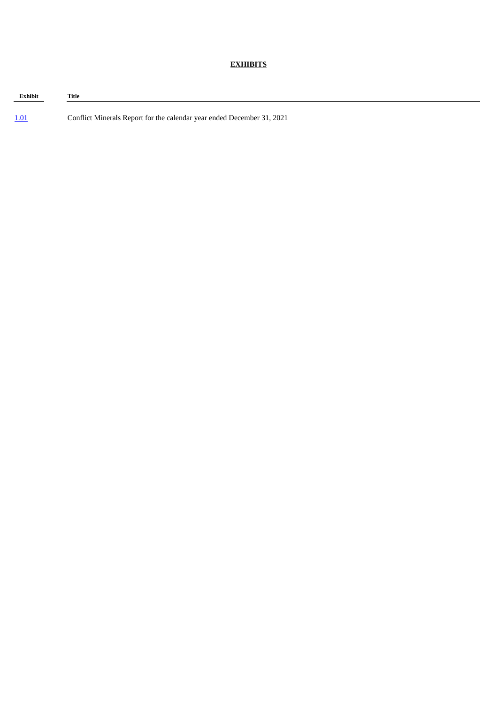## **EXHIBITS**

**Exhibit Title**

[1.01](#page-4-0) Conflict Minerals Report for the calendar year ended December 31, 2021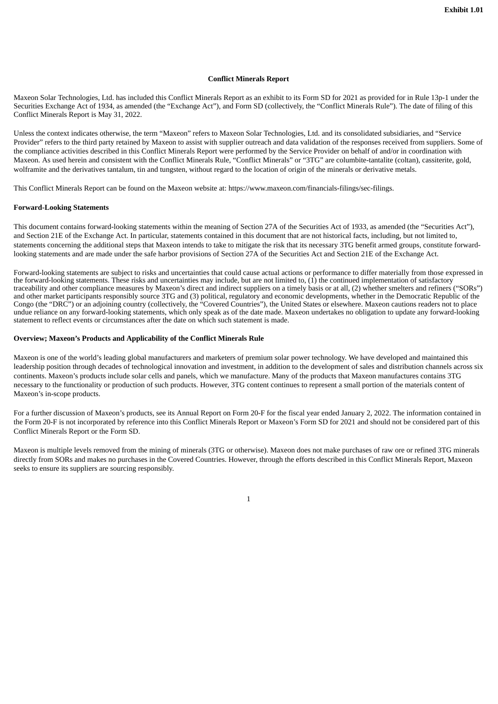#### **Conflict Minerals Report**

<span id="page-4-0"></span>Maxeon Solar Technologies, Ltd. has included this Conflict Minerals Report as an exhibit to its Form SD for 2021 as provided for in Rule 13p-1 under the Securities Exchange Act of 1934, as amended (the "Exchange Act"), and Form SD (collectively, the "Conflict Minerals Rule"). The date of filing of this Conflict Minerals Report is May 31, 2022.

Unless the context indicates otherwise, the term "Maxeon" refers to Maxeon Solar Technologies, Ltd. and its consolidated subsidiaries, and "Service Provider" refers to the third party retained by Maxeon to assist with supplier outreach and data validation of the responses received from suppliers. Some of the compliance activities described in this Conflict Minerals Report were performed by the Service Provider on behalf of and/or in coordination with Maxeon. As used herein and consistent with the Conflict Minerals Rule, "Conflict Minerals" or "3TG" are columbite-tantalite (coltan), cassiterite, gold, wolframite and the derivatives tantalum, tin and tungsten, without regard to the location of origin of the minerals or derivative metals.

This Conflict Minerals Report can be found on the Maxeon website at: https://www.maxeon.com/financials-filings/sec-filings.

#### **Forward-Looking Statements**

This document contains forward-looking statements within the meaning of Section 27A of the Securities Act of 1933, as amended (the "Securities Act"), and Section 21E of the Exchange Act. In particular, statements contained in this document that are not historical facts, including, but not limited to, statements concerning the additional steps that Maxeon intends to take to mitigate the risk that its necessary 3TG benefit armed groups, constitute forwardlooking statements and are made under the safe harbor provisions of Section 27A of the Securities Act and Section 21E of the Exchange Act.

Forward-looking statements are subject to risks and uncertainties that could cause actual actions or performance to differ materially from those expressed in the forward-looking statements. These risks and uncertainties may include, but are not limited to,  $(1)$  the continued implementation of satisfactory traceability and other compliance measures by Maxeon's direct and indirect suppliers on a timely basis or at all, (2) whether smelters and refiners ("SORs") and other market participants responsibly source 3TG and (3) political, regulatory and economic developments, whether in the Democratic Republic of the Congo (the "DRC") or an adjoining country (collectively, the "Covered Countries"), the United States or elsewhere. Maxeon cautions readers not to place undue reliance on any forward-looking statements, which only speak as of the date made. Maxeon undertakes no obligation to update any forward-looking statement to reflect events or circumstances after the date on which such statement is made.

#### **Overview; Maxeon's Products and Applicability of the Conflict Minerals Rule**

Maxeon is one of the world's leading global manufacturers and marketers of premium solar power technology. We have developed and maintained this leadership position through decades of technological innovation and investment, in addition to the development of sales and distribution channels across six continents. Maxeon's products include solar cells and panels, which we manufacture. Many of the products that Maxeon manufactures contains 3TG necessary to the functionality or production of such products. However, 3TG content continues to represent a small portion of the materials content of Maxeon's in-scope products.

For a further discussion of Maxeon's products, see its Annual Report on Form 20-F for the fiscal year ended January 2, 2022. The information contained in the Form 20-F is not incorporated by reference into this Conflict Minerals Report or Maxeon's Form SD for 2021 and should not be considered part of this Conflict Minerals Report or the Form SD.

Maxeon is multiple levels removed from the mining of minerals (3TG or otherwise). Maxeon does not make purchases of raw ore or refined 3TG minerals directly from SORs and makes no purchases in the Covered Countries. However, through the efforts described in this Conflict Minerals Report, Maxeon seeks to ensure its suppliers are sourcing responsibly.

1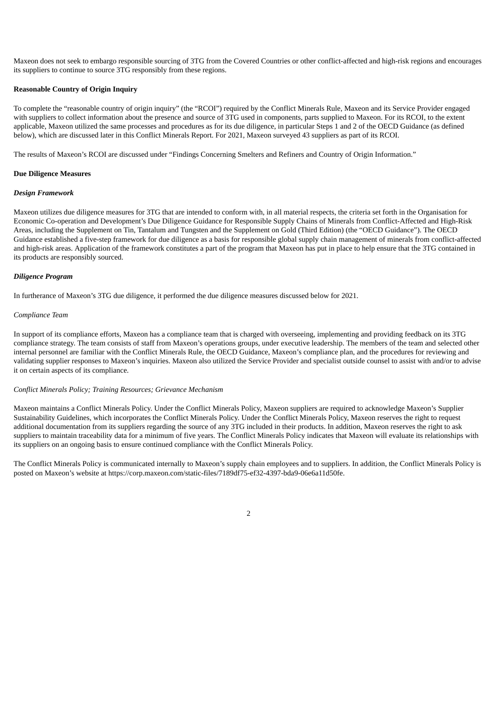Maxeon does not seek to embargo responsible sourcing of 3TG from the Covered Countries or other conflict-affected and high-risk regions and encourages its suppliers to continue to source 3TG responsibly from these regions.

#### **Reasonable Country of Origin Inquiry**

To complete the "reasonable country of origin inquiry" (the "RCOI") required by the Conflict Minerals Rule, Maxeon and its Service Provider engaged with suppliers to collect information about the presence and source of 3TG used in components, parts supplied to Maxeon. For its RCOI, to the extent applicable, Maxeon utilized the same processes and procedures as for its due diligence, in particular Steps 1 and 2 of the OECD Guidance (as defined below), which are discussed later in this Conflict Minerals Report. For 2021, Maxeon surveyed 43 suppliers as part of its RCOI.

The results of Maxeon's RCOI are discussed under "Findings Concerning Smelters and Refiners and Country of Origin Information."

#### **Due Diligence Measures**

#### *Design Framework*

Maxeon utilizes due diligence measures for 3TG that are intended to conform with, in all material respects, the criteria set forth in the Organisation for Economic Co-operation and Development's Due Diligence Guidance for Responsible Supply Chains of Minerals from Conflict-Affected and High-Risk Areas, including the Supplement on Tin, Tantalum and Tungsten and the Supplement on Gold (Third Edition) (the "OECD Guidance"). The OECD Guidance established a five-step framework for due diligence as a basis for responsible global supply chain management of minerals from conflict-affected and high-risk areas. Application of the framework constitutes a part of the program that Maxeon has put in place to help ensure that the 3TG contained in its products are responsibly sourced.

#### *Diligence Program*

In furtherance of Maxeon's 3TG due diligence, it performed the due diligence measures discussed below for 2021.

#### *Compliance Team*

In support of its compliance efforts, Maxeon has a compliance team that is charged with overseeing, implementing and providing feedback on its 3TG compliance strategy. The team consists of staff from Maxeon's operations groups, under executive leadership. The members of the team and selected other internal personnel are familiar with the Conflict Minerals Rule, the OECD Guidance, Maxeon's compliance plan, and the procedures for reviewing and validating supplier responses to Maxeon's inquiries. Maxeon also utilized the Service Provider and specialist outside counsel to assist with and/or to advise it on certain aspects of its compliance.

#### *Conflict Minerals Policy; Training Resources; Grievance Mechanism*

Maxeon maintains a Conflict Minerals Policy. Under the Conflict Minerals Policy, Maxeon suppliers are required to acknowledge Maxeon's Supplier Sustainability Guidelines, which incorporates the Conflict Minerals Policy. Under the Conflict Minerals Policy, Maxeon reserves the right to request additional documentation from its suppliers regarding the source of any 3TG included in their products. In addition, Maxeon reserves the right to ask suppliers to maintain traceability data for a minimum of five years. The Conflict Minerals Policy indicates that Maxeon will evaluate its relationships with its suppliers on an ongoing basis to ensure continued compliance with the Conflict Minerals Policy.

The Conflict Minerals Policy is communicated internally to Maxeon's supply chain employees and to suppliers. In addition, the Conflict Minerals Policy is posted on Maxeon's website at https://corp.maxeon.com/static-files/7189df75-ef32-4397-bda9-06e6a11d50fe.

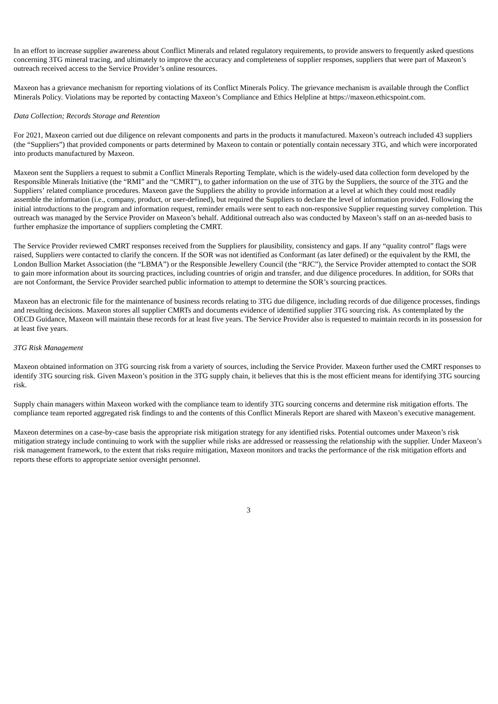In an effort to increase supplier awareness about Conflict Minerals and related regulatory requirements, to provide answers to frequently asked questions concerning 3TG mineral tracing, and ultimately to improve the accuracy and completeness of supplier responses, suppliers that were part of Maxeon's outreach received access to the Service Provider's online resources.

Maxeon has a grievance mechanism for reporting violations of its Conflict Minerals Policy. The grievance mechanism is available through the Conflict Minerals Policy. Violations may be reported by contacting Maxeon's Compliance and Ethics Helpline at https://maxeon.ethicspoint.com.

#### *Data Collection; Records Storage and Retention*

For 2021, Maxeon carried out due diligence on relevant components and parts in the products it manufactured. Maxeon's outreach included 43 suppliers (the "Suppliers") that provided components or parts determined by Maxeon to contain or potentially contain necessary 3TG, and which were incorporated into products manufactured by Maxeon.

Maxeon sent the Suppliers a request to submit a Conflict Minerals Reporting Template, which is the widely-used data collection form developed by the Responsible Minerals Initiative (the "RMI" and the "CMRT"), to gather information on the use of 3TG by the Suppliers, the source of the 3TG and the Suppliers' related compliance procedures. Maxeon gave the Suppliers the ability to provide information at a level at which they could most readily assemble the information (i.e., company, product, or user-defined), but required the Suppliers to declare the level of information provided. Following the initial introductions to the program and information request, reminder emails were sent to each non-responsive Supplier requesting survey completion. This outreach was managed by the Service Provider on Maxeon's behalf. Additional outreach also was conducted by Maxeon's staff on an as-needed basis to further emphasize the importance of suppliers completing the CMRT.

The Service Provider reviewed CMRT responses received from the Suppliers for plausibility, consistency and gaps. If any "quality control" flags were raised, Suppliers were contacted to clarify the concern. If the SOR was not identified as Conformant (as later defined) or the equivalent by the RMI, the London Bullion Market Association (the "LBMA") or the Responsible Jewellery Council (the "RJC"), the Service Provider attempted to contact the SOR to gain more information about its sourcing practices, including countries of origin and transfer, and due diligence procedures. In addition, for SORs that are not Conformant, the Service Provider searched public information to attempt to determine the SOR's sourcing practices.

Maxeon has an electronic file for the maintenance of business records relating to 3TG due diligence, including records of due diligence processes, findings and resulting decisions. Maxeon stores all supplier CMRTs and documents evidence of identified supplier 3TG sourcing risk. As contemplated by the OECD Guidance, Maxeon will maintain these records for at least five years. The Service Provider also is requested to maintain records in its possession for at least five years.

#### *3TG Risk Management*

Maxeon obtained information on 3TG sourcing risk from a variety of sources, including the Service Provider. Maxeon further used the CMRT responses to identify 3TG sourcing risk. Given Maxeon's position in the 3TG supply chain, it believes that this is the most efficient means for identifying 3TG sourcing risk.

Supply chain managers within Maxeon worked with the compliance team to identify 3TG sourcing concerns and determine risk mitigation efforts. The compliance team reported aggregated risk findings to and the contents of this Conflict Minerals Report are shared with Maxeon's executive management.

Maxeon determines on a case-by-case basis the appropriate risk mitigation strategy for any identified risks. Potential outcomes under Maxeon's risk mitigation strategy include continuing to work with the supplier while risks are addressed or reassessing the relationship with the supplier. Under Maxeon's risk management framework, to the extent that risks require mitigation, Maxeon monitors and tracks the performance of the risk mitigation efforts and reports these efforts to appropriate senior oversight personnel.

3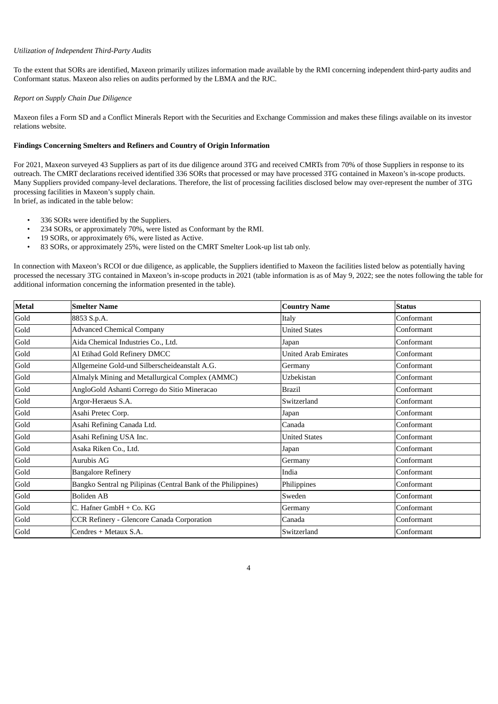#### *Utilization of Independent Third-Party Audits*

To the extent that SORs are identified, Maxeon primarily utilizes information made available by the RMI concerning independent third-party audits and Conformant status. Maxeon also relies on audits performed by the LBMA and the RJC.

#### *Report on Supply Chain Due Diligence*

Maxeon files a Form SD and a Conflict Minerals Report with the Securities and Exchange Commission and makes these filings available on its investor relations website.

#### **Findings Concerning Smelters and Refiners and Country of Origin Information**

For 2021, Maxeon surveyed 43 Suppliers as part of its due diligence around 3TG and received CMRTs from 70% of those Suppliers in response to its outreach. The CMRT declarations received identified 336 SORs that processed or may have processed 3TG contained in Maxeon's in-scope products. Many Suppliers provided company-level declarations. Therefore, the list of processing facilities disclosed below may over-represent the number of 3TG processing facilities in Maxeon's supply chain.

In brief, as indicated in the table below:

- 336 SORs were identified by the Suppliers.
- 234 SORs, or approximately 70%, were listed as Conformant by the RMI.
- 19 SORs, or approximately  $6\%$ , were listed as Active.<br>• 83 SORs, or approximately 25%, were listed on the Cl
- 83 SORs, or approximately 25%, were listed on the CMRT Smelter Look-up list tab only.

In connection with Maxeon's RCOI or due diligence, as applicable, the Suppliers identified to Maxeon the facilities listed below as potentially having processed the necessary 3TG contained in Maxeon's in-scope products in 2021 (table information is as of May 9, 2022; see the notes following the table for additional information concerning the information presented in the table).

| <b>Metal</b> | <b>Smelter Name</b>                                           | <b>Country Name</b>         | <b>Status</b> |
|--------------|---------------------------------------------------------------|-----------------------------|---------------|
| Gold         | 8853 S.p.A.                                                   | Italy                       | Conformant    |
| Gold         | <b>Advanced Chemical Company</b>                              | <b>United States</b>        | Conformant    |
| Gold         | Aida Chemical Industries Co., Ltd.                            | Japan                       | Conformant    |
| Gold         | Al Etihad Gold Refinery DMCC                                  | <b>United Arab Emirates</b> | Conformant    |
| Gold         | Allgemeine Gold-und Silberscheideanstalt A.G.                 | Germany                     | Conformant    |
| Gold         | Almalyk Mining and Metallurgical Complex (AMMC)               | Uzbekistan                  | Conformant    |
| Gold         | AngloGold Ashanti Corrego do Sitio Mineracao                  | <b>Brazil</b>               | Conformant    |
| Gold         | Argor-Heraeus S.A.                                            | Switzerland                 | Conformant    |
| Gold         | Asahi Pretec Corp.                                            | Japan                       | Conformant    |
| Gold         | Asahi Refining Canada Ltd.                                    | Canada                      | Conformant    |
| Gold         | Asahi Refining USA Inc.                                       | <b>United States</b>        | Conformant    |
| Gold         | Asaka Riken Co., Ltd.                                         | Japan                       | Conformant    |
| Gold         | Aurubis AG                                                    | Germany                     | Conformant    |
| Gold         | <b>Bangalore Refinery</b>                                     | India                       | Conformant    |
| Gold         | Bangko Sentral ng Pilipinas (Central Bank of the Philippines) | Philippines                 | Conformant    |
| Gold         | <b>Boliden AB</b>                                             | Sweden                      | Conformant    |
| Gold         | C. Hafner GmbH + Co. KG                                       | Germany                     | Conformant    |
| Gold         | <b>CCR Refinery - Glencore Canada Corporation</b>             | Canada                      | Conformant    |
| Gold         | Cendres + Metaux S.A.                                         | Switzerland                 | Conformant    |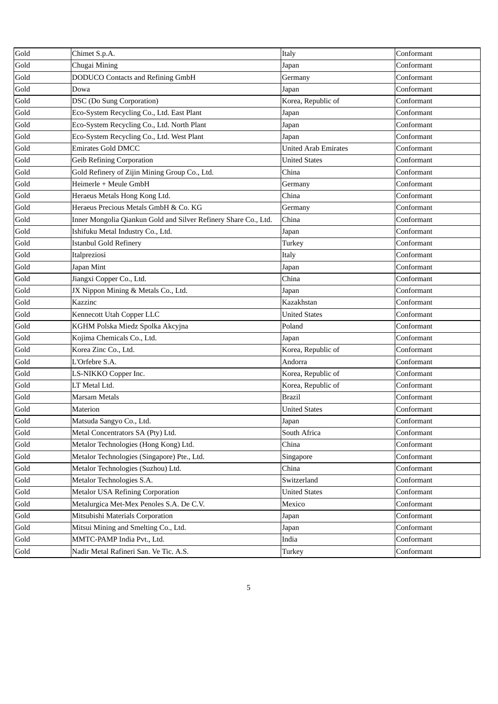| Gold | Chimet S.p.A.                                                   | Italy                       | Conformant |
|------|-----------------------------------------------------------------|-----------------------------|------------|
| Gold | Chugai Mining                                                   | Japan                       | Conformant |
| Gold | <b>DODUCO Contacts and Refining GmbH</b>                        | Germany                     | Conformant |
| Gold | Dowa                                                            | Japan                       | Conformant |
| Gold | <b>DSC</b> (Do Sung Corporation)                                | Korea, Republic of          | Conformant |
| Gold | Eco-System Recycling Co., Ltd. East Plant                       | Japan                       | Conformant |
| Gold | Eco-System Recycling Co., Ltd. North Plant                      | Japan                       | Conformant |
| Gold | Eco-System Recycling Co., Ltd. West Plant                       | Japan                       | Conformant |
| Gold | <b>Emirates Gold DMCC</b>                                       | <b>United Arab Emirates</b> | Conformant |
| Gold | <b>Geib Refining Corporation</b>                                | <b>United States</b>        | Conformant |
| Gold | Gold Refinery of Zijin Mining Group Co., Ltd.                   | China                       | Conformant |
| Gold | Heimerle + Meule GmbH                                           | Germany                     | Conformant |
| Gold | Heraeus Metals Hong Kong Ltd.                                   | China                       | Conformant |
| Gold | Heraeus Precious Metals GmbH & Co. KG                           | Germany                     | Conformant |
| Gold | Inner Mongolia Qiankun Gold and Silver Refinery Share Co., Ltd. | China                       | Conformant |
| Gold | Ishifuku Metal Industry Co., Ltd.                               | Japan                       | Conformant |
| Gold | <b>Istanbul Gold Refinery</b>                                   | Turkey                      | Conformant |
| Gold | Italpreziosi                                                    | Italy                       | Conformant |
| Gold | Japan Mint                                                      | Japan                       | Conformant |
| Gold | Jiangxi Copper Co., Ltd.                                        | China                       | Conformant |
| Gold | JX Nippon Mining & Metals Co., Ltd.                             | Japan                       | Conformant |
| Gold | Kazzinc                                                         | Kazakhstan                  | Conformant |
| Gold | Kennecott Utah Copper LLC                                       | <b>United States</b>        | Conformant |
| Gold | KGHM Polska Miedz Spolka Akcyjna                                | Poland                      | Conformant |
| Gold | Kojima Chemicals Co., Ltd.                                      | Japan                       | Conformant |
| Gold | Korea Zinc Co., Ltd.                                            | Korea, Republic of          | Conformant |
| Gold | L'Orfebre S.A.                                                  | Andorra                     | Conformant |
| Gold | LS-NIKKO Copper Inc.                                            | Korea, Republic of          | Conformant |
| Gold | LT Metal Ltd.                                                   | Korea, Republic of          | Conformant |
| Gold | <b>Marsam Metals</b>                                            | <b>Brazil</b>               | Conformant |
| Gold | Materion                                                        | <b>United States</b>        | Conformant |
| Gold | Matsuda Sangyo Co., Ltd.                                        | Japan                       | Conformant |
| Gold | Metal Concentrators SA (Pty) Ltd.                               | South Africa                | Conformant |
| Gold | Metalor Technologies (Hong Kong) Ltd.                           | China                       | Conformant |
| Gold | Metalor Technologies (Singapore) Pte., Ltd.                     | Singapore                   | Conformant |
| Gold | Metalor Technologies (Suzhou) Ltd.                              | China                       | Conformant |
| Gold | Metalor Technologies S.A.                                       | Switzerland                 | Conformant |
| Gold | <b>Metalor USA Refining Corporation</b>                         | <b>United States</b>        | Conformant |
| Gold | Metalurgica Met-Mex Penoles S.A. De C.V.                        | Mexico                      | Conformant |
| Gold | Mitsubishi Materials Corporation                                | Japan                       | Conformant |
| Gold | Mitsui Mining and Smelting Co., Ltd.                            | Japan                       | Conformant |
| Gold | MMTC-PAMP India Pvt., Ltd.                                      | India                       | Conformant |
| Gold | Nadir Metal Rafineri San. Ve Tic. A.S.                          | Turkey                      | Conformant |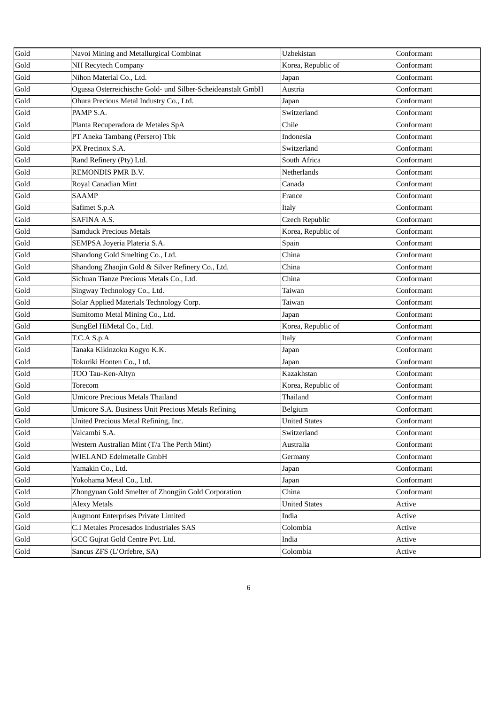| Gold | Navoi Mining and Metallurgical Combinat                     | Uzbekistan           | Conformant |
|------|-------------------------------------------------------------|----------------------|------------|
| Gold | NH Recytech Company                                         | Korea, Republic of   | Conformant |
| Gold | Nihon Material Co., Ltd.                                    | Japan                | Conformant |
| Gold | Ogussa Osterreichische Gold- und Silber-Scheideanstalt GmbH | Austria              | Conformant |
| Gold | Ohura Precious Metal Industry Co., Ltd.                     | Japan                | Conformant |
| Gold | PAMP S.A.                                                   | Switzerland          | Conformant |
| Gold | Planta Recuperadora de Metales SpA                          | Chile                | Conformant |
| Gold | PT Aneka Tambang (Persero) Tbk                              | Indonesia            | Conformant |
| Gold | PX Precinox S.A.                                            | Switzerland          | Conformant |
| Gold | Rand Refinery (Pty) Ltd.                                    | South Africa         | Conformant |
| Gold | REMONDIS PMR B.V.                                           | Netherlands          | Conformant |
| Gold | Royal Canadian Mint                                         | Canada               | Conformant |
| Gold | <b>SAAMP</b>                                                | France               | Conformant |
| Gold | Safimet S.p.A                                               | Italy                | Conformant |
| Gold | SAFINA A.S.                                                 | Czech Republic       | Conformant |
| Gold | <b>Samduck Precious Metals</b>                              | Korea, Republic of   | Conformant |
| Gold | SEMPSA Joyeria Plateria S.A.                                | Spain                | Conformant |
| Gold | Shandong Gold Smelting Co., Ltd.                            | China                | Conformant |
| Gold | Shandong Zhaojin Gold & Silver Refinery Co., Ltd.           | China                | Conformant |
| Gold | Sichuan Tianze Precious Metals Co., Ltd.                    | China                | Conformant |
| Gold | Singway Technology Co., Ltd.                                | Taiwan               | Conformant |
| Gold | Solar Applied Materials Technology Corp.                    | Taiwan               | Conformant |
| Gold | Sumitomo Metal Mining Co., Ltd.                             | Japan                | Conformant |
| Gold | SungEel HiMetal Co., Ltd.                                   | Korea, Republic of   | Conformant |
| Gold | T.C.A S.p.A                                                 | Italy                | Conformant |
| Gold | Tanaka Kikinzoku Kogyo K.K.                                 | Japan                | Conformant |
| Gold | Tokuriki Honten Co., Ltd.                                   | Japan                | Conformant |
| Gold | TOO Tau-Ken-Altyn                                           | Kazakhstan           | Conformant |
| Gold | Torecom                                                     | Korea, Republic of   | Conformant |
| Gold | <b>Umicore Precious Metals Thailand</b>                     | Thailand             | Conformant |
| Gold | Umicore S.A. Business Unit Precious Metals Refining         | Belgium              | Conformant |
| Gold | United Precious Metal Refining, Inc.                        | <b>United States</b> | Conformant |
| Gold | Valcambi S.A.                                               | Switzerland          | Conformant |
| Gold | Western Australian Mint (T/a The Perth Mint)                | Australia            | Conformant |
| Gold | WIELAND Edelmetalle GmbH                                    | Germany              | Conformant |
| Gold | Yamakin Co., Ltd.                                           | Japan                | Conformant |
| Gold | Yokohama Metal Co., Ltd.                                    | Japan                | Conformant |
| Gold | Zhongyuan Gold Smelter of Zhongjin Gold Corporation         | China                | Conformant |
| Gold | <b>Alexy Metals</b>                                         | <b>United States</b> | Active     |
| Gold | <b>Augmont Enterprises Private Limited</b>                  | India                | Active     |
| Gold | C.I Metales Procesados Industriales SAS                     | Colombia             | Active     |
| Gold | GCC Gujrat Gold Centre Pvt. Ltd.                            | India                | Active     |
| Gold | Sancus ZFS (L'Orfebre, SA)                                  | Colombia             | Active     |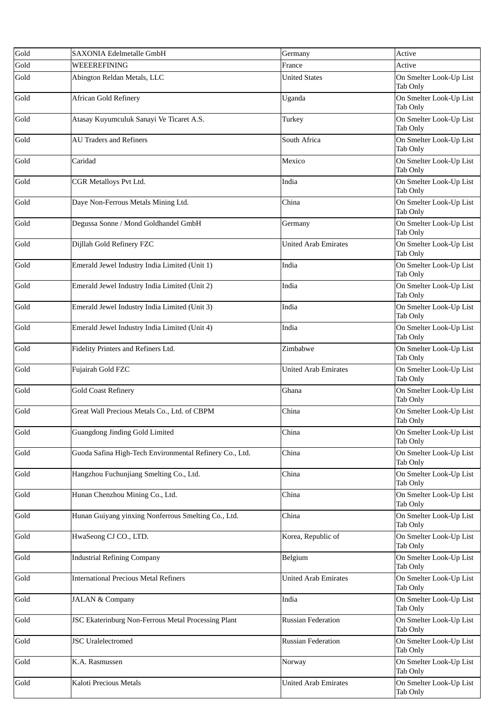| Gold | SAXONIA Edelmetalle GmbH                                | Germany                     | Active                              |
|------|---------------------------------------------------------|-----------------------------|-------------------------------------|
| Gold | WEEEREFINING                                            | France                      | Active                              |
| Gold | Abington Reldan Metals, LLC                             | <b>United States</b>        | On Smelter Look-Up List<br>Tab Only |
| Gold | <b>African Gold Refinery</b>                            | Uganda                      | On Smelter Look-Up List<br>Tab Only |
| Gold | Atasay Kuyumculuk Sanayi Ve Ticaret A.S.                | Turkey                      | On Smelter Look-Up List<br>Tab Only |
| Gold | <b>AU Traders and Refiners</b>                          | South Africa                | On Smelter Look-Up List<br>Tab Only |
| Gold | Caridad                                                 | Mexico                      | On Smelter Look-Up List<br>Tab Only |
| Gold | <b>CGR Metalloys Pvt Ltd.</b>                           | India                       | On Smelter Look-Up List<br>Tab Only |
| Gold | Daye Non-Ferrous Metals Mining Ltd.                     | China                       | On Smelter Look-Up List<br>Tab Only |
| Gold | Degussa Sonne / Mond Goldhandel GmbH                    | Germany                     | On Smelter Look-Up List<br>Tab Only |
| Gold | Dijllah Gold Refinery FZC                               | <b>United Arab Emirates</b> | On Smelter Look-Up List<br>Tab Only |
| Gold | Emerald Jewel Industry India Limited (Unit 1)           | India                       | On Smelter Look-Up List<br>Tab Only |
| Gold | Emerald Jewel Industry India Limited (Unit 2)           | India                       | On Smelter Look-Up List<br>Tab Only |
| Gold | Emerald Jewel Industry India Limited (Unit 3)           | India                       | On Smelter Look-Up List<br>Tab Only |
| Gold | Emerald Jewel Industry India Limited (Unit 4)           | India                       | On Smelter Look-Up List<br>Tab Only |
| Gold | Fidelity Printers and Refiners Ltd.                     | Zimbabwe                    | On Smelter Look-Up List<br>Tab Only |
| Gold | Fujairah Gold FZC                                       | <b>United Arab Emirates</b> | On Smelter Look-Up List<br>Tab Only |
| Gold | <b>Gold Coast Refinery</b>                              | Ghana                       | On Smelter Look-Up List<br>Tab Only |
| Gold | Great Wall Precious Metals Co., Ltd. of CBPM            | China                       | On Smelter Look-Up List<br>Tab Only |
| Gold | Guangdong Jinding Gold Limited                          | China                       | On Smelter Look-Up List<br>Tab Only |
| Gold | Guoda Safina High-Tech Environmental Refinery Co., Ltd. | China                       | On Smelter Look-Up List<br>Tab Only |
| Gold | Hangzhou Fuchunjiang Smelting Co., Ltd.                 | China                       | On Smelter Look-Up List<br>Tab Only |
| Gold | Hunan Chenzhou Mining Co., Ltd.                         | China                       | On Smelter Look-Up List<br>Tab Only |
| Gold | Hunan Guiyang yinxing Nonferrous Smelting Co., Ltd.     | China                       | On Smelter Look-Up List<br>Tab Only |
| Gold | HwaSeong CJ CO., LTD.                                   | Korea, Republic of          | On Smelter Look-Up List<br>Tab Only |
| Gold | <b>Industrial Refining Company</b>                      | Belgium                     | On Smelter Look-Up List<br>Tab Only |
| Gold | <b>International Precious Metal Refiners</b>            | <b>United Arab Emirates</b> | On Smelter Look-Up List<br>Tab Only |
| Gold | <b>JALAN &amp; Company</b>                              | India                       | On Smelter Look-Up List<br>Tab Only |
| Gold | JSC Ekaterinburg Non-Ferrous Metal Processing Plant     | <b>Russian Federation</b>   | On Smelter Look-Up List<br>Tab Only |
| Gold | <b>JSC</b> Uralelectromed                               | <b>Russian Federation</b>   | On Smelter Look-Up List<br>Tab Only |
| Gold | K.A. Rasmussen                                          | Norway                      | On Smelter Look-Up List<br>Tab Only |
| Gold | Kaloti Precious Metals                                  | <b>United Arab Emirates</b> | On Smelter Look-Up List<br>Tab Only |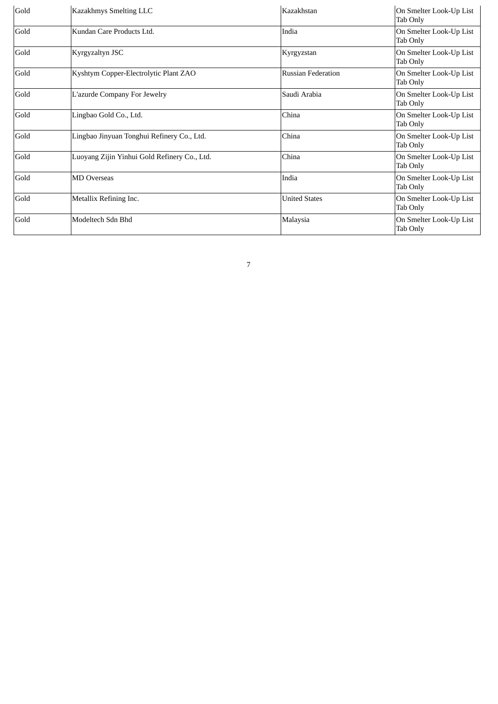| Gold | Kazakhmys Smelting LLC                       | Kazakhstan                | On Smelter Look-Up List<br>Tab Only |
|------|----------------------------------------------|---------------------------|-------------------------------------|
| Gold | Kundan Care Products Ltd.                    | India                     | On Smelter Look-Up List<br>Tab Only |
| Gold | Kyrgyzaltyn JSC                              | Kyrgyzstan                | On Smelter Look-Up List<br>Tab Only |
| Gold | Kyshtym Copper-Electrolytic Plant ZAO        | <b>Russian Federation</b> | On Smelter Look-Up List<br>Tab Only |
| Gold | L'azurde Company For Jewelry                 | Saudi Arabia              | On Smelter Look-Up List<br>Tab Only |
| Gold | Lingbao Gold Co., Ltd.                       | China                     | On Smelter Look-Up List<br>Tab Only |
| Gold | Lingbao Jinyuan Tonghui Refinery Co., Ltd.   | China                     | On Smelter Look-Up List<br>Tab Only |
| Gold | Luoyang Zijin Yinhui Gold Refinery Co., Ltd. | China                     | On Smelter Look-Up List<br>Tab Only |
| Gold | <b>MD</b> Overseas                           | India                     | On Smelter Look-Up List<br>Tab Only |
| Gold | Metallix Refining Inc.                       | <b>United States</b>      | On Smelter Look-Up List<br>Tab Only |
| Gold | Modeltech Sdn Bhd                            | Malaysia                  | On Smelter Look-Up List<br>Tab Only |

7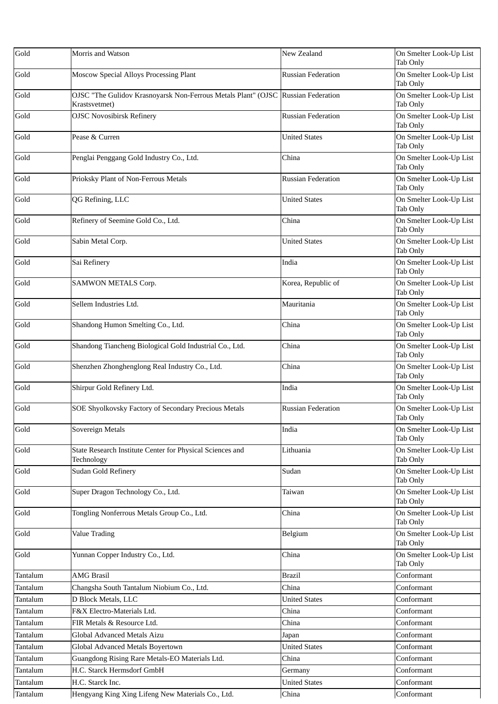| Gold     | Morris and Watson                                                                                 | New Zealand               | On Smelter Look-Up List<br>Tab Only |
|----------|---------------------------------------------------------------------------------------------------|---------------------------|-------------------------------------|
| Gold     | Moscow Special Alloys Processing Plant                                                            | <b>Russian Federation</b> | On Smelter Look-Up List<br>Tab Only |
| Gold     | OJSC "The Gulidov Krasnoyarsk Non-Ferrous Metals Plant" (OJSC Russian Federation<br>Krastsvetmet) |                           | On Smelter Look-Up List<br>Tab Only |
| Gold     | <b>OJSC Novosibirsk Refinery</b>                                                                  | <b>Russian Federation</b> | On Smelter Look-Up List<br>Tab Only |
| Gold     | Pease & Curren                                                                                    | <b>United States</b>      | On Smelter Look-Up List<br>Tab Only |
| Gold     | Penglai Penggang Gold Industry Co., Ltd.                                                          | China                     | On Smelter Look-Up List<br>Tab Only |
| Gold     | Prioksky Plant of Non-Ferrous Metals                                                              | <b>Russian Federation</b> | On Smelter Look-Up List<br>Tab Only |
| Gold     | QG Refining, LLC                                                                                  | <b>United States</b>      | On Smelter Look-Up List<br>Tab Only |
| Gold     | Refinery of Seemine Gold Co., Ltd.                                                                | China                     | On Smelter Look-Up List<br>Tab Only |
| Gold     | Sabin Metal Corp.                                                                                 | <b>United States</b>      | On Smelter Look-Up List<br>Tab Only |
| Gold     | Sai Refinery                                                                                      | India                     | On Smelter Look-Up List<br>Tab Only |
| Gold     | SAMWON METALS Corp.                                                                               | Korea, Republic of        | On Smelter Look-Up List<br>Tab Only |
| Gold     | Sellem Industries Ltd.                                                                            | Mauritania                | On Smelter Look-Up List<br>Tab Only |
| Gold     | Shandong Humon Smelting Co., Ltd.                                                                 | China                     | On Smelter Look-Up List<br>Tab Only |
| Gold     | Shandong Tiancheng Biological Gold Industrial Co., Ltd.                                           | China                     | On Smelter Look-Up List<br>Tab Only |
| Gold     | Shenzhen Zhonghenglong Real Industry Co., Ltd.                                                    | China                     | On Smelter Look-Up List<br>Tab Only |
| Gold     | Shirpur Gold Refinery Ltd.                                                                        | India                     | On Smelter Look-Up List<br>Tab Only |
| Gold     | SOE Shyolkovsky Factory of Secondary Precious Metals                                              | <b>Russian Federation</b> | On Smelter Look-Up List<br>Tab Only |
| Gold     | Sovereign Metals                                                                                  | India                     | On Smelter Look-Up List<br>Tab Only |
| Gold     | State Research Institute Center for Physical Sciences and<br>Technology                           | Lithuania                 | On Smelter Look-Up List<br>Tab Only |
| Gold     | <b>Sudan Gold Refinery</b>                                                                        | Sudan                     | On Smelter Look-Up List<br>Tab Only |
| Gold     | Super Dragon Technology Co., Ltd.                                                                 | Taiwan                    | On Smelter Look-Up List<br>Tab Only |
| Gold     | Tongling Nonferrous Metals Group Co., Ltd.                                                        | China                     | On Smelter Look-Up List<br>Tab Only |
| Gold     | <b>Value Trading</b>                                                                              | Belgium                   | On Smelter Look-Up List<br>Tab Only |
| Gold     | Yunnan Copper Industry Co., Ltd.                                                                  | China                     | On Smelter Look-Up List<br>Tab Only |
| Tantalum | <b>AMG Brasil</b>                                                                                 | <b>Brazil</b>             | Conformant                          |
| Tantalum | Changsha South Tantalum Niobium Co., Ltd.                                                         | China                     | Conformant                          |
| Tantalum | D Block Metals, LLC                                                                               | <b>United States</b>      | Conformant                          |
| Tantalum | F&X Electro-Materials Ltd.                                                                        | China                     | Conformant                          |
| Tantalum | FIR Metals & Resource Ltd.                                                                        | China                     | Conformant                          |
| Tantalum | Global Advanced Metals Aizu                                                                       | Japan                     | Conformant                          |
| Tantalum | Global Advanced Metals Boyertown                                                                  | <b>United States</b>      | Conformant                          |
| Tantalum | Guangdong Rising Rare Metals-EO Materials Ltd.                                                    | China                     | Conformant                          |
| Tantalum | H.C. Starck Hermsdorf GmbH                                                                        | Germany                   | Conformant                          |
| Tantalum | H.C. Starck Inc.                                                                                  | <b>United States</b>      | Conformant                          |
| Tantalum | Hengyang King Xing Lifeng New Materials Co., Ltd.                                                 | China                     | Conformant                          |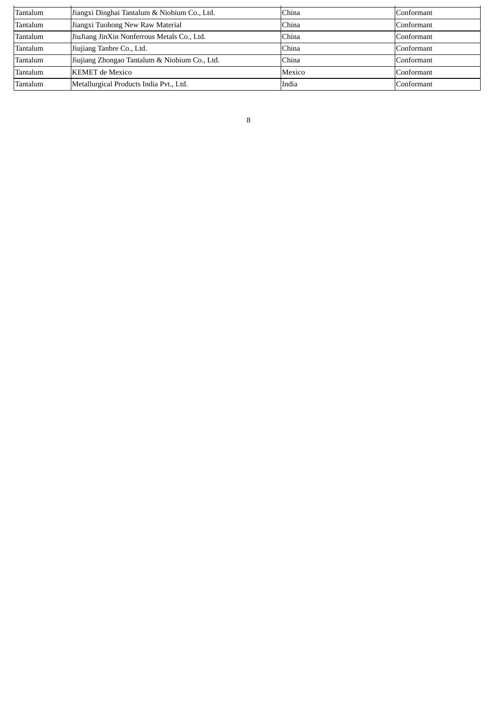| Tantalum | Jiangxi Dinghai Tantalum & Niobium Co., Ltd.  | China  | Conformant |
|----------|-----------------------------------------------|--------|------------|
| Tantalum | Jiangxi Tuohong New Raw Material              | China  | Conformant |
| Tantalum | JiuJiang JinXin Nonferrous Metals Co., Ltd.   | China  | Conformant |
| Tantalum | Jiujiang Tanbre Co., Ltd.                     | China  | Conformant |
| Tantalum | Jiujiang Zhongao Tantalum & Niobium Co., Ltd. | China  | Conformant |
| Tantalum | <b>KEMET</b> de Mexico                        | Mexico | Conformant |
| Tantalum | Metallurgical Products India Pvt., Ltd.       | India  | Conformant |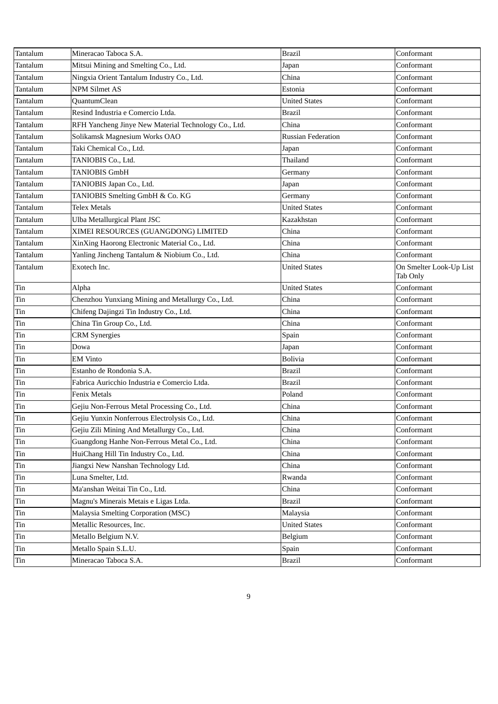| Tantalum | Mineracao Taboca S.A.                                | <b>Brazil</b>             | Conformant                          |
|----------|------------------------------------------------------|---------------------------|-------------------------------------|
| Tantalum | Mitsui Mining and Smelting Co., Ltd.                 | Japan                     | Conformant                          |
| Tantalum | Ningxia Orient Tantalum Industry Co., Ltd.           | China                     | Conformant                          |
| Tantalum | <b>NPM Silmet AS</b>                                 | Estonia                   | Conformant                          |
| Tantalum | OuantumClean                                         | <b>United States</b>      | Conformant                          |
| Tantalum | Resind Industria e Comercio Ltda.                    | Brazil                    | Conformant                          |
| Tantalum | RFH Yancheng Jinye New Material Technology Co., Ltd. | China                     | Conformant                          |
| Tantalum | Solikamsk Magnesium Works OAO                        | <b>Russian Federation</b> | Conformant                          |
| Tantalum | Taki Chemical Co., Ltd.                              | Japan                     | Conformant                          |
| Tantalum | TANIOBIS Co., Ltd.                                   | Thailand                  | Conformant                          |
| Tantalum | <b>TANIOBIS GmbH</b>                                 | Germany                   | Conformant                          |
| Tantalum | TANIOBIS Japan Co., Ltd.                             | Japan                     | Conformant                          |
| Tantalum | TANIOBIS Smelting GmbH & Co. KG                      | Germany                   | Conformant                          |
| Tantalum | <b>Telex Metals</b>                                  | <b>United States</b>      | Conformant                          |
| Tantalum | <b>Ulba Metallurgical Plant JSC</b>                  | Kazakhstan                | Conformant                          |
| Tantalum | XIMEI RESOURCES (GUANGDONG) LIMITED                  | China                     | Conformant                          |
| Tantalum | XinXing Haorong Electronic Material Co., Ltd.        | China                     | Conformant                          |
| Tantalum | Yanling Jincheng Tantalum & Niobium Co., Ltd.        | China                     | Conformant                          |
| Tantalum | Exotech Inc.                                         | <b>United States</b>      | On Smelter Look-Up List<br>Tab Only |
| Tin      | Alpha                                                | <b>United States</b>      | Conformant                          |
| Tin      | Chenzhou Yunxiang Mining and Metallurgy Co., Ltd.    | China                     | Conformant                          |
| Tin      | Chifeng Dajingzi Tin Industry Co., Ltd.              | China                     | Conformant                          |
| Tin      | China Tin Group Co., Ltd.                            | China                     | Conformant                          |
| Tin      | <b>CRM</b> Synergies                                 | Spain                     | Conformant                          |
| Tin      | Dowa                                                 | Japan                     | Conformant                          |
| Tin      | <b>EM Vinto</b>                                      | <b>Bolivia</b>            | Conformant                          |
| Tin      | Estanho de Rondonia S.A.                             | <b>Brazil</b>             | Conformant                          |
| Tin      | Fabrica Auricchio Industria e Comercio Ltda.         | <b>Brazil</b>             | Conformant                          |
| Tin      | <b>Fenix Metals</b>                                  | Poland                    | Conformant                          |
| Tin      | Gejiu Non-Ferrous Metal Processing Co., Ltd.         | China                     | Conformant                          |
| Tin      | Gejiu Yunxin Nonferrous Electrolysis Co., Ltd.       | China                     | Conformant                          |
| Tin      | Gejiu Zili Mining And Metallurgy Co., Ltd.           | China                     | Conformant                          |
| Tin      | Guangdong Hanhe Non-Ferrous Metal Co., Ltd.          | China                     | Conformant                          |
| Tin      | HuiChang Hill Tin Industry Co., Ltd.                 | China                     | Conformant                          |
| Tin      | Jiangxi New Nanshan Technology Ltd.                  | China                     | Conformant                          |
| Tin      | Luna Smelter, Ltd.                                   | Rwanda                    | Conformant                          |
| Tin      | Ma'anshan Weitai Tin Co., Ltd.                       | China                     | Conformant                          |
| Tin      | Magnu's Minerais Metais e Ligas Ltda.                | <b>Brazil</b>             | Conformant                          |
| Tin      | Malaysia Smelting Corporation (MSC)                  | Malaysia                  | Conformant                          |
| Tin      | Metallic Resources, Inc.                             | <b>United States</b>      | Conformant                          |
| Tin      | Metallo Belgium N.V.                                 | Belgium                   | Conformant                          |
| Tin      | Metallo Spain S.L.U.                                 | Spain                     | Conformant                          |
| Tin      | Mineracao Taboca S.A.                                | <b>Brazil</b>             | Conformant                          |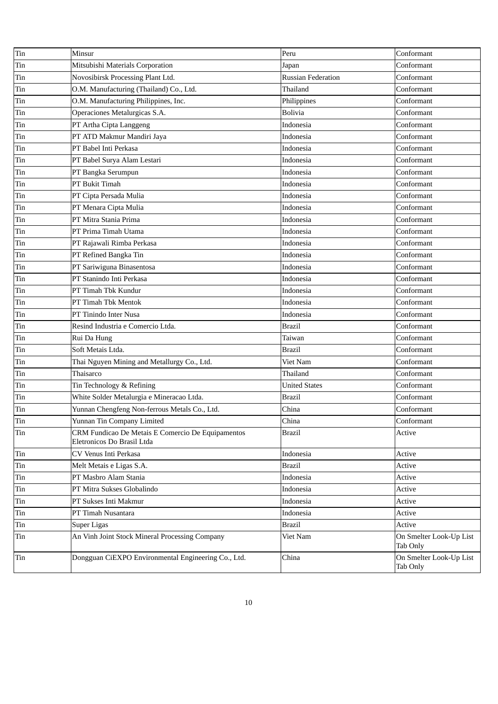| Tin | Minsur                                                                          | Peru                      | Conformant                          |
|-----|---------------------------------------------------------------------------------|---------------------------|-------------------------------------|
| Tin | Mitsubishi Materials Corporation                                                | Japan                     | Conformant                          |
| Tin | Novosibirsk Processing Plant Ltd.                                               | <b>Russian Federation</b> | Conformant                          |
| Tin | O.M. Manufacturing (Thailand) Co., Ltd.                                         | Thailand                  | Conformant                          |
| Tin | O.M. Manufacturing Philippines, Inc.                                            | Philippines               | Conformant                          |
| Tin | Operaciones Metalurgicas S.A.                                                   | <b>Bolivia</b>            | Conformant                          |
| Tin | PT Artha Cipta Langgeng                                                         | Indonesia                 | Conformant                          |
| Tin | PT ATD Makmur Mandiri Jaya                                                      | Indonesia                 | Conformant                          |
| Tin | PT Babel Inti Perkasa                                                           | Indonesia                 | Conformant                          |
| Tin | PT Babel Surya Alam Lestari                                                     | Indonesia                 | Conformant                          |
| Tin | PT Bangka Serumpun                                                              | Indonesia                 | Conformant                          |
| Tin | PT Bukit Timah                                                                  | Indonesia                 | Conformant                          |
| Tin | PT Cipta Persada Mulia                                                          | Indonesia                 | Conformant                          |
| Tin | PT Menara Cipta Mulia                                                           | Indonesia                 | Conformant                          |
| Tin | PT Mitra Stania Prima                                                           | Indonesia                 | Conformant                          |
| Tin | PT Prima Timah Utama                                                            | Indonesia                 | Conformant                          |
| Tin | PT Rajawali Rimba Perkasa                                                       | Indonesia                 | Conformant                          |
| Tin | PT Refined Bangka Tin                                                           | Indonesia                 | Conformant                          |
| Tin | PT Sariwiguna Binasentosa                                                       | Indonesia                 | Conformant                          |
| Tin | PT Stanindo Inti Perkasa                                                        | Indonesia                 | Conformant                          |
| Tin | PT Timah Tbk Kundur                                                             | Indonesia                 | Conformant                          |
| Tin | PT Timah Tbk Mentok                                                             | Indonesia                 | Conformant                          |
| Tin | PT Tinindo Inter Nusa                                                           | Indonesia                 | Conformant                          |
| Tin | Resind Industria e Comercio Ltda.                                               | <b>Brazil</b>             | Conformant                          |
| Tin | Rui Da Hung                                                                     | Taiwan                    | Conformant                          |
| Tin | Soft Metais Ltda.                                                               | <b>Brazil</b>             | Conformant                          |
| Tin | Thai Nguyen Mining and Metallurgy Co., Ltd.                                     | Viet Nam                  | Conformant                          |
| Tin | Thaisarco                                                                       | Thailand                  | Conformant                          |
| Tin | Tin Technology & Refining                                                       | <b>United States</b>      | Conformant                          |
| Tin | White Solder Metalurgia e Mineracao Ltda.                                       | <b>Brazil</b>             | Conformant                          |
| Tin | Yunnan Chengfeng Non-ferrous Metals Co., Ltd.                                   | China                     | Conformant                          |
| Tin | Yunnan Tin Company Limited                                                      | China                     | Conformant                          |
| Tin | CRM Fundicao De Metais E Comercio De Equipamentos<br>Eletronicos Do Brasil Ltda | Brazil                    | Active                              |
| Tin | CV Venus Inti Perkasa                                                           | Indonesia                 | Active                              |
| Tin | Melt Metais e Ligas S.A.                                                        | <b>Brazil</b>             | Active                              |
| Tin | PT Masbro Alam Stania                                                           | Indonesia                 | Active                              |
| Tin | PT Mitra Sukses Globalindo                                                      | Indonesia                 | Active                              |
| Tin | PT Sukses Inti Makmur                                                           | Indonesia                 | Active                              |
| Tin | PT Timah Nusantara                                                              | Indonesia                 | Active                              |
| Tin | Super Ligas                                                                     | <b>Brazil</b>             | Active                              |
| Tin | An Vinh Joint Stock Mineral Processing Company                                  | Viet Nam                  | On Smelter Look-Up List<br>Tab Only |
| Tin | Dongguan CiEXPO Environmental Engineering Co., Ltd.                             | China                     | On Smelter Look-Up List<br>Tab Only |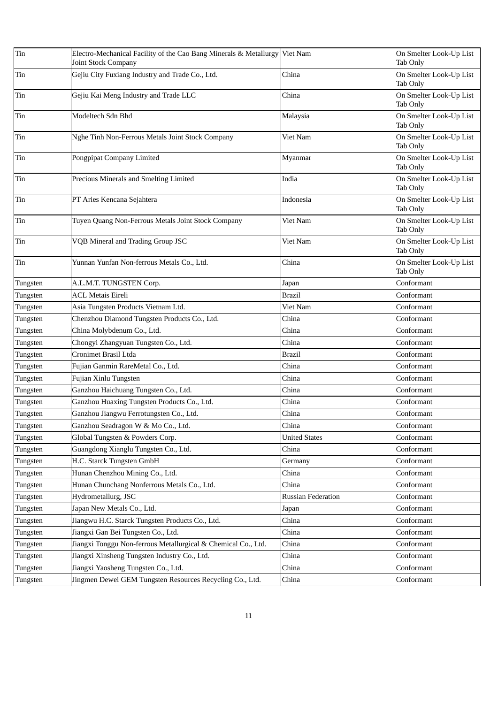| Tin      | Electro-Mechanical Facility of the Cao Bang Minerals & Metallurgy Viet Nam<br>Joint Stock Company |                      | On Smelter Look-Up List<br>Tab Only |
|----------|---------------------------------------------------------------------------------------------------|----------------------|-------------------------------------|
| Tin      | Gejiu City Fuxiang Industry and Trade Co., Ltd.                                                   | China                | On Smelter Look-Up List<br>Tab Only |
| Tin      | Gejiu Kai Meng Industry and Trade LLC                                                             | China                | On Smelter Look-Up List<br>Tab Only |
| Tin      | Modeltech Sdn Bhd                                                                                 | Malaysia             | On Smelter Look-Up List<br>Tab Only |
| Tin      | Nghe Tinh Non-Ferrous Metals Joint Stock Company                                                  | Viet Nam             | On Smelter Look-Up List<br>Tab Only |
| Tin      | Pongpipat Company Limited                                                                         | Myanmar              | On Smelter Look-Up List<br>Tab Only |
| Tin      | Precious Minerals and Smelting Limited                                                            | India                | On Smelter Look-Up List<br>Tab Only |
| Tin      | PT Aries Kencana Sejahtera                                                                        | Indonesia            | On Smelter Look-Up List<br>Tab Only |
| Tin      | Tuyen Quang Non-Ferrous Metals Joint Stock Company                                                | Viet Nam             | On Smelter Look-Up List<br>Tab Only |
| Tin      | VQB Mineral and Trading Group JSC                                                                 | Viet Nam             | On Smelter Look-Up List<br>Tab Only |
| Tin      | Yunnan Yunfan Non-ferrous Metals Co., Ltd.                                                        | China                | On Smelter Look-Up List<br>Tab Only |
| Tungsten | A.L.M.T. TUNGSTEN Corp.                                                                           | Japan                | Conformant                          |
| Tungsten | <b>ACL Metais Eireli</b>                                                                          | <b>Brazil</b>        | Conformant                          |
| Tungsten | Asia Tungsten Products Vietnam Ltd.                                                               | Viet Nam             | Conformant                          |
| Tungsten | Chenzhou Diamond Tungsten Products Co., Ltd.                                                      | China                | Conformant                          |
| Tungsten | China Molybdenum Co., Ltd.                                                                        | China                | Conformant                          |
| Tungsten | Chongyi Zhangyuan Tungsten Co., Ltd.                                                              | China                | Conformant                          |
| Tungsten | Cronimet Brasil Ltda                                                                              | <b>Brazil</b>        | Conformant                          |
| Tungsten | Fujian Ganmin RareMetal Co., Ltd.                                                                 | China                | Conformant                          |
| Tungsten | Fujian Xinlu Tungsten                                                                             | China                | Conformant                          |
| Tungsten | Ganzhou Haichuang Tungsten Co., Ltd.                                                              | China                | Conformant                          |
| Tungsten | Ganzhou Huaxing Tungsten Products Co., Ltd.                                                       | China                | Conformant                          |
| Tungsten | Ganzhou Jiangwu Ferrotungsten Co., Ltd.                                                           | China                | Conformant                          |
| Tungsten | Ganzhou Seadragon W & Mo Co., Ltd.                                                                | China                | Conformant                          |
| Tungsten | Global Tungsten & Powders Corp.                                                                   | <b>United States</b> | Conformant                          |
| Tungsten | Guangdong Xianglu Tungsten Co., Ltd.                                                              | China                | Conformant                          |
| Tungsten | H.C. Starck Tungsten GmbH                                                                         | Germany              | Conformant                          |
| Tungsten | Hunan Chenzhou Mining Co., Ltd.                                                                   | China                | Conformant                          |
| Tungsten | Hunan Chunchang Nonferrous Metals Co., Ltd.                                                       | China                | Conformant                          |
| Tungsten | Hydrometallurg, JSC                                                                               | Russian Federation   | Conformant                          |
| Tungsten | Japan New Metals Co., Ltd.                                                                        | Japan                | Conformant                          |
| Tungsten | Jiangwu H.C. Starck Tungsten Products Co., Ltd.                                                   | China                | Conformant                          |
| Tungsten | Jiangxi Gan Bei Tungsten Co., Ltd.                                                                | China                | Conformant                          |
| Tungsten | Jiangxi Tonggu Non-ferrous Metallurgical & Chemical Co., Ltd.                                     | China                | Conformant                          |
| Tungsten | Jiangxi Xinsheng Tungsten Industry Co., Ltd.                                                      | China                | Conformant                          |
| Tungsten | Jiangxi Yaosheng Tungsten Co., Ltd.                                                               | China                | Conformant                          |
| Tungsten | Jingmen Dewei GEM Tungsten Resources Recycling Co., Ltd.                                          | China                | Conformant                          |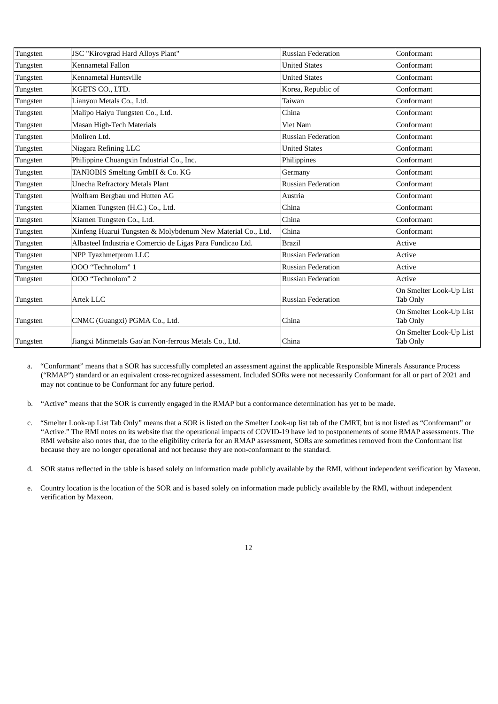| Tungsten | JSC "Kirovgrad Hard Alloys Plant"                           | Russian Federation        | Conformant                          |
|----------|-------------------------------------------------------------|---------------------------|-------------------------------------|
| Tungsten | <b>Kennametal Fallon</b>                                    | <b>United States</b>      | Conformant                          |
| Tungsten | Kennametal Huntsville                                       | <b>United States</b>      | Conformant                          |
| Tungsten | KGETS CO., LTD.                                             | Korea, Republic of        | Conformant                          |
| Tungsten | Lianyou Metals Co., Ltd.                                    | Taiwan                    | Conformant                          |
| Tungsten | Malipo Haiyu Tungsten Co., Ltd.                             | China                     | Conformant                          |
| Tungsten | Masan High-Tech Materials                                   | <b>Viet Nam</b>           | Conformant                          |
| Tungsten | Moliren Ltd.                                                | <b>Russian Federation</b> | Conformant                          |
| Tungsten | Niagara Refining LLC                                        | <b>United States</b>      | Conformant                          |
| Tungsten | Philippine Chuangxin Industrial Co., Inc.                   | Philippines               | Conformant                          |
| Tungsten | TANIOBIS Smelting GmbH & Co. KG                             | Germany                   | Conformant                          |
| Tungsten | <b>Unecha Refractory Metals Plant</b>                       | <b>Russian Federation</b> | Conformant                          |
| Tungsten | Wolfram Bergbau und Hutten AG                               | Austria                   | Conformant                          |
| Tungsten | Xiamen Tungsten (H.C.) Co., Ltd.                            | China                     | Conformant                          |
| Tungsten | Xiamen Tungsten Co., Ltd.                                   | China                     | Conformant                          |
| Tungsten | Xinfeng Huarui Tungsten & Molybdenum New Material Co., Ltd. | China                     | Conformant                          |
| Tungsten | Albasteel Industria e Comercio de Ligas Para Fundicao Ltd.  | <b>Brazil</b>             | Active                              |
| Tungsten | NPP Tyazhmetprom LLC                                        | <b>Russian Federation</b> | Active                              |
| Tungsten | OOO "Technolom" 1                                           | <b>Russian Federation</b> | Active                              |
| Tungsten | OOO "Technolom" 2                                           | Russian Federation        | Active                              |
| Tungsten | Artek LLC                                                   | <b>Russian Federation</b> | On Smelter Look-Up List<br>Tab Only |
| Tungsten | CNMC (Guangxi) PGMA Co., Ltd.                               | China                     | On Smelter Look-Up List<br>Tab Only |
| Tungsten | Jiangxi Minmetals Gao'an Non-ferrous Metals Co., Ltd.       | China                     | On Smelter Look-Up List<br>Tab Only |

- a. "Conformant" means that a SOR has successfully completed an assessment against the applicable Responsible Minerals Assurance Process ("RMAP") standard or an equivalent cross-recognized assessment. Included SORs were not necessarily Conformant for all or part of 2021 and may not continue to be Conformant for any future period.
- b. "Active" means that the SOR is currently engaged in the RMAP but a conformance determination has yet to be made.
- c. "Smelter Look-up List Tab Only" means that a SOR is listed on the Smelter Look-up list tab of the CMRT, but is not listed as "Conformant" or "Active." The RMI notes on its website that the operational impacts of COVID-19 have led to postponements of some RMAP assessments. The RMI website also notes that, due to the eligibility criteria for an RMAP assessment, SORs are sometimes removed from the Conformant list because they are no longer operational and not because they are non-conformant to the standard.

d. SOR status reflected in the table is based solely on information made publicly available by the RMI, without independent verification by Maxeon.

e. Country location is the location of the SOR and is based solely on information made publicly available by the RMI, without independent verification by Maxeon.